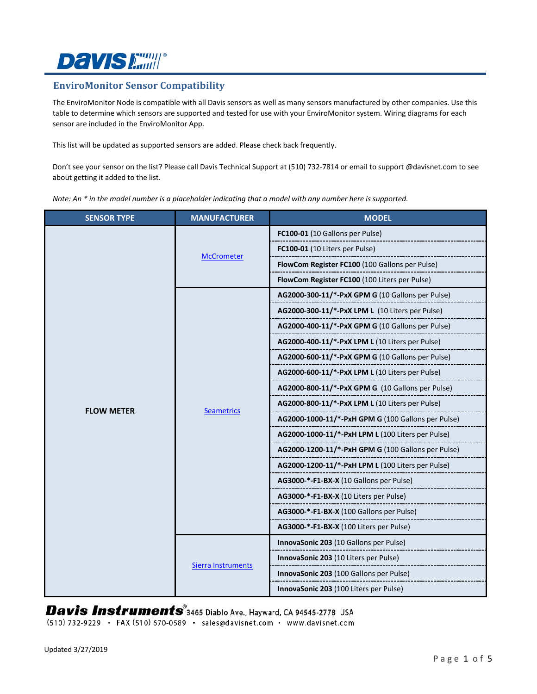# **Davis Emill**®

### **EnviroMonitor Sensor Compatibility**

The EnviroMonitor Node is compatible with all Davis sensors as well as many sensors manufactured by other companies. Use this table to determine which sensors are supported and tested for use with your EnviroMonitor system. Wiring diagrams for each sensor are included in the EnviroMonitor App.

This list will be updated as supported sensors are added. Please check back frequently.

Don't see your sensor on the list? Please call Davis Technical Support at (510) 732-7814 or email to support @davisnet.com to see about getting it added to the list.

*Note: An \* in the model number is a placeholder indicating that a model with any number here is supported.*

| <b>SENSOR TYPE</b> | <b>MANUFACTURER</b> | <b>MODEL</b>                                       |
|--------------------|---------------------|----------------------------------------------------|
|                    | <b>McCrometer</b>   | FC100-01 (10 Gallons per Pulse)                    |
|                    |                     | FC100-01 (10 Liters per Pulse)                     |
|                    |                     | FlowCom Register FC100 (100 Gallons per Pulse)     |
|                    |                     | FlowCom Register FC100 (100 Liters per Pulse)      |
|                    | Seametrics          | AG2000-300-11/*-PxX GPM G (10 Gallons per Pulse)   |
|                    |                     | AG2000-300-11/*-PxX LPM L (10 Liters per Pulse)    |
|                    |                     | AG2000-400-11/*-PxX GPM G (10 Gallons per Pulse)   |
|                    |                     | AG2000-400-11/*-PxX LPM L (10 Liters per Pulse)    |
| <b>FLOW METER</b>  |                     | AG2000-600-11/*-PxX GPM G (10 Gallons per Pulse)   |
|                    |                     | AG2000-600-11/*-PxX LPM L (10 Liters per Pulse)    |
|                    |                     | AG2000-800-11/*-PxX GPM G (10 Gallons per Pulse)   |
|                    |                     | AG2000-800-11/*-PxX LPM L (10 Liters per Pulse)    |
|                    |                     | AG2000-1000-11/*-PxH GPM G (100 Gallons per Pulse) |
|                    |                     | AG2000-1000-11/*-PxH LPM L (100 Liters per Pulse)  |
|                    |                     | AG2000-1200-11/*-PxH GPM G (100 Gallons per Pulse) |
|                    |                     | AG2000-1200-11/*-PxH LPM L (100 Liters per Pulse)  |
|                    |                     | AG3000-*-F1-BX-X (10 Gallons per Pulse)            |
|                    |                     | AG3000-*-F1-BX-X (10 Liters per Pulse)             |
|                    |                     | AG3000-*-F1-BX-X (100 Gallons per Pulse)           |
|                    |                     | AG3000-*-F1-BX-X (100 Liters per Pulse)            |
|                    | Sierra Instruments  | InnovaSonic 203 (10 Gallons per Pulse)             |
|                    |                     | InnovaSonic 203 (10 Liters per Pulse)              |
|                    |                     | InnovaSonic 203 (100 Gallons per Pulse)            |
|                    |                     | InnovaSonic 203 (100 Liters per Pulse)             |

Davis Instruments<sup>®</sup>3465 Diablo Ave., Hayward, CA 94545-2778 USA

(510) 732-9229 · FAX (510) 670-0589 · sales@davisnet.com · www.davisnet.com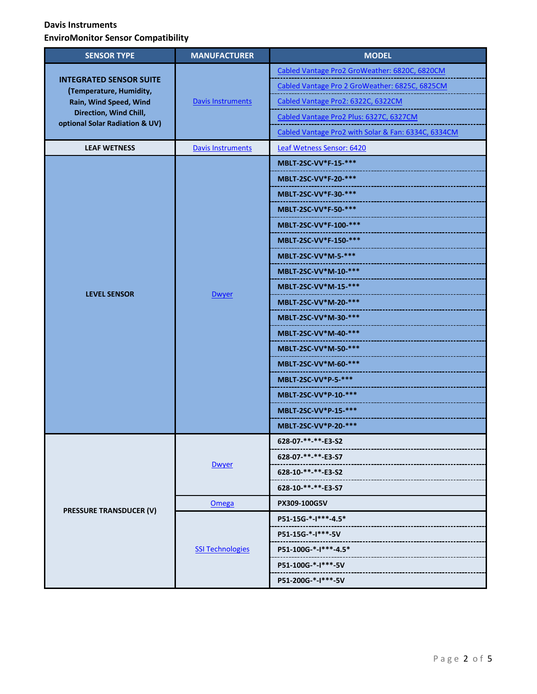| <b>SENSOR TYPE</b>                                                                                                                              | <b>MANUFACTURER</b>      | <b>MODEL</b>                                        |
|-------------------------------------------------------------------------------------------------------------------------------------------------|--------------------------|-----------------------------------------------------|
| <b>INTEGRATED SENSOR SUITE</b><br>(Temperature, Humidity,<br>Rain, Wind Speed, Wind<br>Direction, Wind Chill,<br>optional Solar Radiation & UV) | <b>Davis Instruments</b> | Cabled Vantage Pro2 GroWeather: 6820C, 6820CM       |
|                                                                                                                                                 |                          | Cabled Vantage Pro 2 GroWeather: 6825C, 6825CM      |
|                                                                                                                                                 |                          | Cabled Vantage Pro2: 6322C, 6322CM                  |
|                                                                                                                                                 |                          | Cabled Vantage Pro2 Plus: 6327C, 6327CM             |
|                                                                                                                                                 |                          | Cabled Vantage Pro2 with Solar & Fan: 6334C, 6334CM |
| <b>LEAF WETNESS</b>                                                                                                                             | <b>Davis Instruments</b> | Leaf Wetness Sensor: 6420                           |
|                                                                                                                                                 |                          | MBLT-2SC-VV*F-15-***                                |
|                                                                                                                                                 |                          | <b>MBLT-2SC-VV*F-20-***</b>                         |
|                                                                                                                                                 |                          | MBLT-2SC-VV*F-30-***                                |
|                                                                                                                                                 |                          | MBLT-2SC-VV*F-50-***                                |
|                                                                                                                                                 |                          | MBLT-2SC-VV*F-100-***                               |
|                                                                                                                                                 |                          | MBLT-2SC-VV*F-150-***                               |
|                                                                                                                                                 |                          | MBLT-2SC-VV*M-5-***                                 |
|                                                                                                                                                 |                          | MBLT-2SC-VV*M-10-***                                |
|                                                                                                                                                 |                          | MBLT-2SC-VV*M-15-***                                |
| <b>LEVEL SENSOR</b>                                                                                                                             | <b>Dwyer</b>             | MBLT-2SC-VV*M-20-***                                |
|                                                                                                                                                 |                          | MBLT-2SC-VV*M-30-***                                |
|                                                                                                                                                 |                          | MBLT-2SC-VV*M-40-***                                |
|                                                                                                                                                 |                          | MBLT-2SC-VV*M-50-***                                |
|                                                                                                                                                 |                          | MBLT-2SC-VV*M-60-***                                |
|                                                                                                                                                 |                          | MBLT-2SC-VV*P-5-***                                 |
|                                                                                                                                                 |                          | MBLT-2SC-VV*P-10-***                                |
|                                                                                                                                                 |                          | MBLT-2SC-VV*P-15-***                                |
|                                                                                                                                                 |                          | MBLT-2SC-VV*P-20-***                                |
| <b>PRESSURE TRANSDUCER (V)</b>                                                                                                                  | <b>Dwyer</b>             | 628-07-**-**-E3-S2                                  |
|                                                                                                                                                 |                          | 628-07-**-**-E3-S7                                  |
|                                                                                                                                                 |                          | 628-10-**-**-E3-S2                                  |
|                                                                                                                                                 |                          | 628-10-**-**-E3-S7                                  |
|                                                                                                                                                 | Omega                    | PX309-100G5V                                        |
|                                                                                                                                                 | <b>SSI Technologies</b>  | P51-15G-*-I***-4.5*                                 |
|                                                                                                                                                 |                          | P51-15G-*-I***-5V                                   |
|                                                                                                                                                 |                          | P51-100G-*-I***-4.5*                                |
|                                                                                                                                                 |                          | P51-100G-*-I***-5V                                  |
|                                                                                                                                                 |                          | P51-200G-*-I***-5V                                  |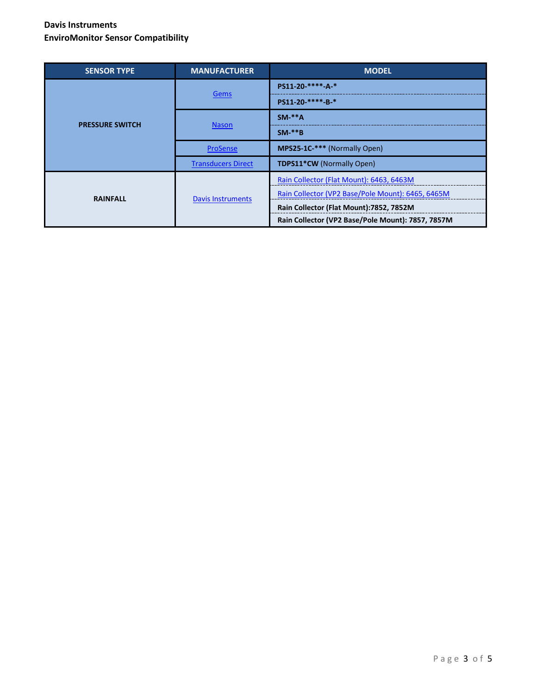| <b>SENSOR TYPE</b>     | <b>MANUFACTURER</b>       | <b>MODEL</b>                                      |
|------------------------|---------------------------|---------------------------------------------------|
| <b>PRESSURE SWITCH</b> | Gems                      | PS11-20-****-A-*                                  |
|                        |                           | PS11-20-****-B-*                                  |
|                        | <b>Nason</b>              | $SM-**A$                                          |
|                        |                           | $SM-**B$                                          |
|                        | ProSense                  | MPS25-1C-*** (Normally Open)                      |
|                        | <b>Transducers Direct</b> | TDPS11*CW (Normally Open)                         |
| <b>RAINFALL</b>        | <b>Davis Instruments</b>  | Rain Collector (Flat Mount): 6463, 6463M          |
|                        |                           | Rain Collector (VP2 Base/Pole Mount): 6465, 6465M |
|                        |                           | Rain Collector (Flat Mount):7852, 7852M           |
|                        |                           | Rain Collector (VP2 Base/Pole Mount): 7857, 7857M |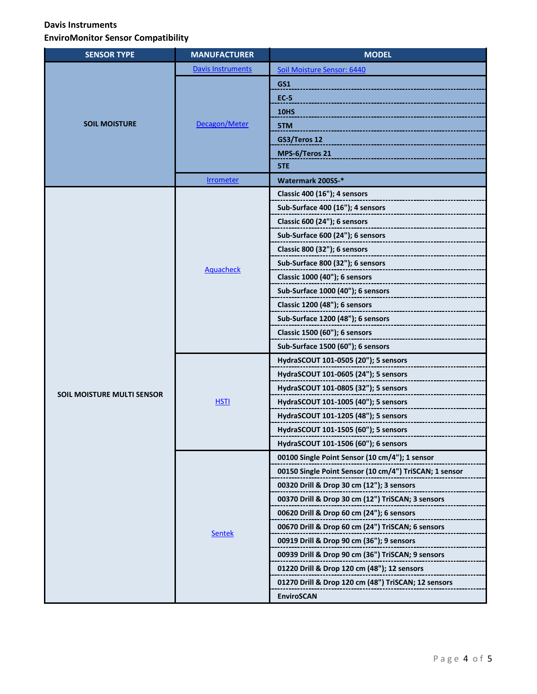| <b>SENSOR TYPE</b>                | <b>MANUFACTURER</b>      | <b>MODEL</b>                                                        |
|-----------------------------------|--------------------------|---------------------------------------------------------------------|
|                                   | <b>Davis Instruments</b> | Soil Moisture Sensor: 6440                                          |
|                                   |                          | GS1                                                                 |
|                                   | Decagon/Meter            | <b>EC-5</b>                                                         |
|                                   |                          | <b>10HS</b>                                                         |
| <b>SOIL MOISTURE</b>              |                          | 5TM                                                                 |
|                                   |                          | GS3/Teros 12                                                        |
|                                   |                          | MPS-6/Teros 21                                                      |
|                                   |                          | 5TE                                                                 |
|                                   | <b>Irrometer</b>         | Watermark 200SS-*                                                   |
|                                   |                          | Classic 400 (16"); 4 sensors                                        |
|                                   |                          | Sub-Surface 400 (16"); 4 sensors                                    |
|                                   |                          | Classic 600 (24"); 6 sensors<br>----------------------------------- |
|                                   |                          | Sub-Surface 600 (24"); 6 sensors                                    |
|                                   |                          | Classic 800 (32"); 6 sensors                                        |
|                                   | <b>Aquacheck</b>         |                                                                     |
|                                   |                          | Classic 1000 (40"); 6 sensors                                       |
|                                   |                          | Sub-Surface 1000 (40"); 6 sensors                                   |
|                                   |                          | Classic 1200 (48"); 6 sensors                                       |
|                                   |                          |                                                                     |
|                                   |                          | Classic 1500 (60"); 6 sensors                                       |
|                                   |                          | Sub-Surface 1500 (60"); 6 sensors                                   |
|                                   |                          | HydraSCOUT 101-0505 (20"); 5 sensors                                |
|                                   | <b>HSTI</b>              | HydraSCOUT 101-0605 (24"); 5 sensors                                |
| <b>SOIL MOISTURE MULTI SENSOR</b> |                          | HydraSCOUT 101-0805 (32"); 5 sensors                                |
|                                   |                          | HydraSCOUT 101-1005 (40"); 5 sensors                                |
|                                   |                          | HydraSCOUT 101-1205 (48"); 5 sensors                                |
|                                   |                          | HydraSCOUT 101-1505 (60"); 5 sensors                                |
|                                   |                          | HydraSCOUT 101-1506 (60"); 6 sensors                                |
|                                   | <b>Sentek</b>            | 00100 Single Point Sensor (10 cm/4"); 1 sensor                      |
|                                   |                          | 00150 Single Point Sensor (10 cm/4") TriSCAN; 1 sensor              |
|                                   |                          | 00320 Drill & Drop 30 cm (12"); 3 sensors                           |
|                                   |                          | 00370 Drill & Drop 30 cm (12") TriSCAN; 3 sensors                   |
|                                   |                          | 00620 Drill & Drop 60 cm (24"); 6 sensors                           |
|                                   |                          | 00670 Drill & Drop 60 cm (24") TriSCAN; 6 sensors                   |
|                                   |                          | 00919 Drill & Drop 90 cm (36"); 9 sensors                           |
|                                   |                          | 00939 Drill & Drop 90 cm (36") TriSCAN; 9 sensors                   |
|                                   |                          | 01220 Drill & Drop 120 cm (48"); 12 sensors                         |
|                                   |                          | 01270 Drill & Drop 120 cm (48") TriSCAN; 12 sensors                 |
|                                   |                          | <b>EnviroSCAN</b>                                                   |